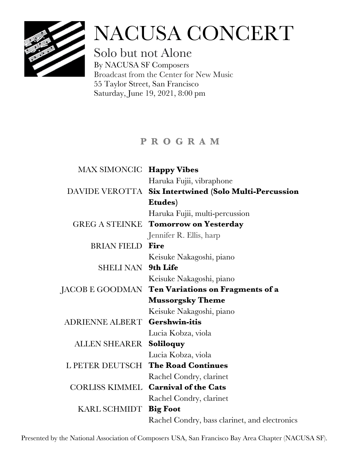

# NACUSA CONCERT

Solo but not Alone By NACUSA SF Composers Broadcast from the Center for New Music 55 Taylor Street, San Francisco Saturday, June 19, 2021, 8:00 pm

## **P R O G R A M**

| MAX SIMONCIC Happy Vibes |                                                       |
|--------------------------|-------------------------------------------------------|
|                          | Haruka Fujii, vibraphone                              |
|                          | DAVIDE VEROTTA Six Intertwined (Solo Multi-Percussion |
|                          | Etudes)                                               |
|                          | Haruka Fujii, multi-percussion                        |
|                          | <b>GREG A STEINKE Tomorrow on Yesterday</b>           |
|                          | Jennifer R. Ellis, harp                               |
| <b>BRIAN FIELD</b>       | Fire                                                  |
|                          | Keisuke Nakagoshi, piano                              |
| SHELI NAN 9th Life       |                                                       |
|                          | Keisuke Nakagoshi, piano                              |
|                          | JACOB E GOODMAN Ten Variations on Fragments of a      |
|                          | <b>Mussorgsky Theme</b>                               |
|                          | Keisuke Nakagoshi, piano                              |
| ADRIENNE ALBERT          | <b>Gershwin-itis</b>                                  |
|                          | Lucia Kobza, viola                                    |
| ALLEN SHEARER            | Soliloquy                                             |
|                          | Lucia Kobza, viola                                    |
|                          | L PETER DEUTSCH The Road Continues                    |
|                          | Rachel Condry, clarinet                               |
|                          | CORLISS KIMMEL Carnival of the Cats                   |
|                          | Rachel Condry, clarinet                               |
| KARL SCHMIDT Big Foot    |                                                       |
|                          | Rachel Condry, bass clarinet, and electronics         |
|                          |                                                       |

Presented by the National Association of Composers USA, San Francisco Bay Area Chapter (NACUSA SF).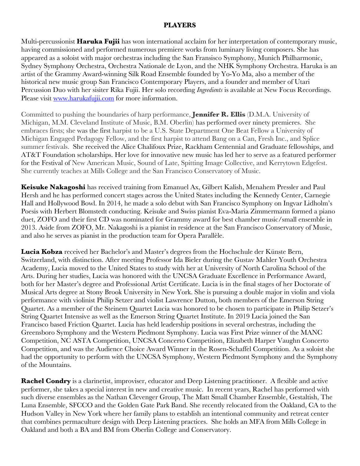#### **PLAYERS**

Multi-percussionist **Haruka Fujii** has won international acclaim for her interpretation of contemporary music, having commissioned and performed numerous premiere works from luminary living composers. She has appeared as a soloist with major orchestras including the San Fransisco Symphony, Munich Philharmonic, Sydney Symphony Orchestra, Orchestra Nationale de Lyon, and the NHK Symphony Orchestra. Haruka is an artist of the Grammy Award-winning Silk Road Ensemble founded by Yo-Yo Ma, also a member of the historical new music group San Francisco Contemporary Players, and a founder and member of Utari Percussion Duo with her sisiter Rika Fujii. Her solo recording *Ingredients* is available at New Focus Recordings. Please visit www.harukafujii.com for more information.

Committed to pushing the boundaries of harp performance, **Jennifer R. Ellis** (D.M.A. University of Michigan, M.M. Cleveland Institute of Music, B.M. Oberlin) has performed over ninety premieres. She embraces firsts; she was the first harpist to be a U.S. State Department One Beat Fellow a University of Michigan Engaged Pedagogy Fellow, and the first harpist to attend Bang on a Can, Fresh Inc., and Splice summer festivals. She received the Alice Chalifoux Prize, Rackham Centennial and Graduate fellowships, and AT&T Foundation scholarships. Her love for innovative new music has led her to serve as a featured performer for the Festival of New American Music, Sound of Late, Spitting Image Collective, and Kerrytown Edgefest. She currently teaches at Mills College and the San Francisco Conservatory of Music.

**Keisuke Nakagoshi** has received training from Emanuel Ax, Gilbert Kalish, Menahem Pressler and Paul Hersh and he has performed concert stages across the United States including the Kennedy Center, Carnegie Hall and Hollywood Bowl. In 2014, he made a solo debut with San Francisco Symphony on Ingvar Lidholm's Poesis with Herbert Blomstedt conducting. Keisuke and Swiss pianist Eva-Maria Zimmermann formed a piano duet, ZOFO and their first CD was nominated for Grammy award for best chamber music/small ensemble in 2013. Aside from ZOFO, Mr. Nakagoshi is a pianist in residence at the San Francisco Conservatory of Music, and also he serves as pianist in the production team for Opera Parallèle.

**Lucia Kobza** received her Bachelor's and Master's degrees from the Hochschule der Künste Bern, Switzerland, with distinction. After meeting Professor Ida Bieler during the Gustav Mahler Youth Orchestra Academy, Lucia moved to the United States to study with her at University of North Carolina School of the Arts. During her studies, Lucia was honored with the UNCSA Graduate Excellence in Performance Award, both for her Master's degree and Professional Artist Certificate. Lucia is in the final stages of her Doctorate of Musical Arts degree at Stony Brook University in New York. She is pursuing a double major in violin and viola performance with violinist Philip Setzer and violist Lawrence Dutton, both members of the Emerson String Quartet. As a member of the Steinem Quartet Lucia was honored to be chosen to participate in Philip Setzer's String Quartet Intensive as well as the Emerson String Quartet Institute. In 2019 Lucia joined the San Francisco based Friction Quartet. Lucia has held leadership positions in several orchestras, including the Greensboro Symphony and the Western Piedmont Symphony. Lucia was First Prize winner of the MANC Competition, NC ASTA Competition, UNCSA Concerto Competition, Elizabeth Harper Vaughn Concerto Competition, and was the Audience Choice Award Winner in the Rosen-Schaffel Competition. As a soloist she had the opportunity to perform with the UNCSA Symphony, Western Piedmont Symphony and the Symphony of the Mountains.

**Rachel Condry** is a clarinetist, improviser, educator and Deep Listening practitioner. A flexible and active performer, she takes a special interest in new and creative music. In recent years, Rachel has performed with such diverse ensembles as the Nathan Clevenger Group, The Matt Small Chamber Ensemble, Gestaltish, The Luna Ensemble, SFCCO and the Golden Gate Park Band. She recently relocated from the Oakland, CA to the Hudson Valley in New York where her family plans to establish an intentional community and retreat center that combines permaculture design with Deep Listening practices. She holds an MFA from Mills College in Oakland and both a BA and BM from Oberlin College and Conservatory.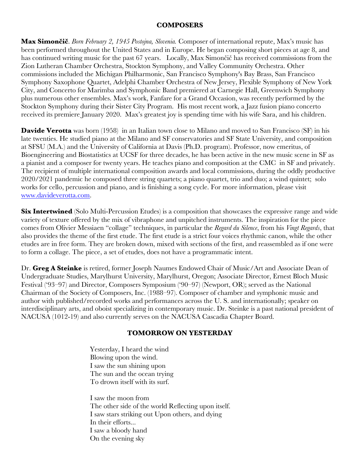#### **COMPOSERS**

**Max Simončič**. *Born February 2, 1945 Postojna, Slovenia.* Composer of international repute, Max's music has been performed throughout the United States and in Europe. He began composing short pieces at age 8, and has continued writing music for the past 67 years. Locally, Max Simončič has received commissions from the Zion Lutheran Chamber Orchestra, Stockton Symphony, and Valley Community Orchestra. Other commissions included the Michigan Philharmonic, San Francisco Symphony's Bay Brass, San Francisco Symphony Saxophone Quartet, Adelphi Chamber Orchestra of New Jersey, Flexible Symphony of New York City, and Concerto for Marimba and Symphonic Band premiered at Carnegie Hall, Greenwich Symphony plus numerous other ensembles. Max's work, Fanfare for a Grand Occasion, was recently performed by the Stockton Symphony during their Sister City Program. His most recent work, a Jazz fusion piano concerto received its premiere January 2020. Max's greatest joy is spending time with his wife Sara, and his children.

**Davide Verotta** was born (1958) in an Italian town close to Milano and moved to San Francisco (SF) in his late twenties. He studied piano at the Milano and SF conservatories and SF State University, and composition at SFSU (M.A.) and the University of California at Davis (Ph.D. program). Professor, now emeritus, of Bioengineering and Biostatistics at UCSF for three decades, he has been active in the new music scene in SF as a pianist and a composer for twenty years. He teaches piano and composition at the CMC in SF and privately. The recipient of multiple international composition awards and local commissions, during the oddly productive 2020/2021 pandemic he composed three string quartets; a piano quartet, trio and duo; a wind quintet; solo works for cello, percussion and piano, and is finishing a song cycle. For more information, please visit www.davideverotta.com.

**Six Intertwined** (Solo Multi-Percussion Etudes) is a composition that showcases the expressive range and wide variety of texture offered by the mix of vibraphone and unpitched instruments. The inspiration for the piece comes from Olivier Messiaen "collage" techniques, in particular the *Regard du Silence*, from his *Vingt Regards*, that also provides the theme of the first etude. The first etude is a strict four voices rhythmic canon, while the other etudes are in free form. They are broken down, mixed with sections of the first, and reassembled as if one were to form a collage. The piece, a set of etudes, does not have a programmatic intent.

Dr. **Greg A Steinke** is retired, former Joseph Naumes Endowed Chair of Music/Art and Associate Dean of Undergraduate Studies, Marylhurst University, Marylhurst, Oregon; Associate Director, Ernest Bloch Music Festival ('93–97) and Director, Composers Symposium ('90–97) (Newport, OR); served as the National Chairman of the Society of Composers, Inc. (1988–97). Composer of chamber and symphonic music and author with published/recorded works and performances across the U. S. and internationally; speaker on interdisciplinary arts, and oboist specializing in contemporary music. Dr. Steinke is a past national president of NACUSA (1012-19) and also currently serves on the NACUSA Cascadia Chapter Board.

### **TOMORROW ON YESTERDAY**

Yesterday, I heard the wind Blowing upon the wind. I saw the sun shining upon The sun and the ocean trying To drown itself with its surf.

I saw the moon from The other side of the world Reflecting upon itself. I saw stars striking out Upon others, and dying In their efforts... I saw a bloody hand On the evening sky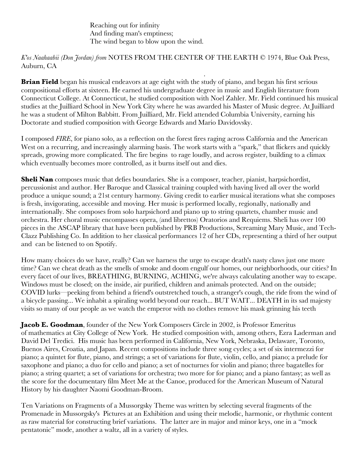Reaching out for infinity And finding man's emptiness; The wind began to blow upon the wind.

#### *K'os Naahaabii (Don Jordan) from* NOTES FROM THE CENTER OF THE EARTH © 1974, Blue Oak Press, Auburn, CA

. **Brian Field** began his musical endeavors at age eight with the study of piano, and began his first serious compositional efforts at sixteen. He earned his undergraduate degree in music and English literature from Connecticut College. At Connecticut, he studied composition with Noel Zahler. Mr. Field continued his musical studies at the Juilliard School in New York City where he was awarded his Master of Music degree. At Juilliard he was a student of Milton Babbitt. From Juilliard, Mr. Field attended Columbia University, earning his Doctorate and studied composition with George Edwards and Mario Davidovsky.

I composed *FIRE*, for piano solo, as a reflection on the forest fires raging across California and the American West on a recurring, and increasingly alarming basis. The work starts with a "spark," that flickers and quickly spreads, growing more complicated. The fire begins to rage loudly, and across register, building to a climax which eventually becomes more controlled, as it burns itself out and dies.

**Sheli Nan** composes music that defies boundaries. She is a composer, teacher, pianist, harpsichordist, percussionist and author. Her Baroque and Classical training coupled with having lived all over the world produce a unique sound; a 21st century harmony. Giving credit to earlier musical iterations what she composes is fresh, invigorating, accessible and moving. Her music is performed locally, regionally, nationally and internationally. She composes from solo harpsichord and piano up to string quartets, chamber music and orchestra. Her choral music encompasses opera, (and librettos) Oratorios and Requiems. Sheli has over 100 pieces in the ASCAP library that have been published by PRB Productions, Screaming Mary Music, and Tech-Clazz Publishing Co. In addition to her classical performances 12 of her CDs, representing a third of her output and can be listened to on Spotify.

How many choices do we have, really? Can we harness the urge to escape death's nasty claws just one more time? Can we cheat death as the smells of smoke and doom engulf our homes, our neighborhoods, our cities? In every facet of our lives, BREATHING, BURNING, ACHING, we're always calculating another way to escape. Windows must be closed; on the inside, air purified, children and animals protected. And on the outside; COVID lurks—peeking from behind a friend's outstretched touch, a stranger's cough, the ride from the wind of a bicycle passing... We inhabit a spiraling world beyond our reach... BUT WAIT... DEATH in its sad majesty visits so many of our people as we watch the emperor with no clothes remove his mask grinning his teeth

**Jacob E. Goodman**, founder of the New York Composers Circle in 2002, is Professor Emeritus of mathematics at City College of New York. He studied composition with, among others, Ezra Laderman and David Del Tredici. His music has been performed in California, New York, Nebraska, Delaware, Toronto, Buenos Aires, Croatia, and Japan. Recent compositions include three song cycles; a set of six intermezzi for piano; a quintet for flute, piano, and strings; a set of variations for flute, violin, cello, and piano; a prelude for saxophone and piano; a duo for cello and piano; a set of nocturnes for violin and piano; three bagatelles for piano; a string quartet; a set of variations for orchestra; two more for for piano; and a piano fantasy; as well as the score for the documentary film Meet Me at the Canoe, produced for the American Museum of Natural History by his daughter Naomi Goodman-Broom.

Ten Variations on Fragments of a Mussorgsky Theme was written by selecting several fragments of the Promenade in Mussorgsky's Pictures at an Exhibition and using their melodic, harmonic, or rhythmic content as raw material for constructing brief variations. The latter are in major and minor keys, one in a "mock pentatonic" mode, another a waltz, all in a variety of styles.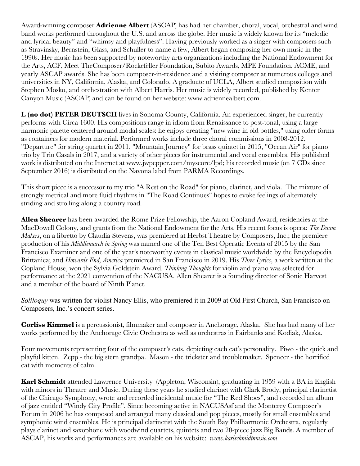Award-winning composer **Adrienne Albert** (ASCAP) has had her chamber, choral, vocal, orchestral and wind band works performed throughout the U.S. and across the globe. Her music is widely known for its "melodic and lyrical beauty" and "whimsy and playfulness". Having previously worked as a singer with composers such as Stravinsky, Bernstein, Glass, and Schuller to name a few, Albert began composing her own music in the 1990s. Her music has been supported by noteworthy arts organizations including the National Endowment for the Arts, ACF, Meet TheComposer/Rockefeller Foundation, Subito Awards, MPE Foundation, ACME, and yearly ASCAP awards. She has been composer-in-residence and a visiting composer at numerous colleges and universities in NY, California, Alaska, and Colorado. A graduate of UCLA, Albert studied composition with Stephen Mosko, and orchestration with Albert Harris. Her music is widely recorded, published by Kenter Canyon Music (ASCAP) and can be found on her website: www.adriennealbert.com.

**L (no dot) PETER DEUTSCH** lives in Sonoma County, California. An experienced singer, he currently performs with Circa 1600. His compositions range in idiom from Renaissance to post-tonal, using a large harmonic palette centered around modal scales: he enjoys creating "new wine in old bottles," using older forms as containers for modern material. Performed works include three choral commissions in 2008-2012, "Departure" for string quartet in 2011, "Mountain Journey" for brass quintet in 2015, "Ocean Air" for piano trio by Trio Casals in 2017, and a variety of other pieces for instrumental and vocal ensembles. His published work is distributed on the Internet at www.jwpepper.com/myscore/lpd; his recorded music (on 7 CDs since September 2016) is distributed on the Navona label from PARMA Recordings.

This short piece is a successor to my trio "A Rest on the Road" for piano, clarinet, and viola. The mixture of strongly metrical and more fluid rhythms in "The Road Continues" hopes to evoke feelings of alternately striding and strolling along a country road.

**Allen Shearer** has been awarded the Rome Prize Fellowship, the Aaron Copland Award, residencies at the MacDowell Colony, and grants from the National Endowment for the Arts. His recent focus is opera: *The Dawn Makers*, on a libretto by Claudia Stevens, was premiered at Herbst Theatre by Composers, Inc.; the premiere production of his *Middlemarch in Spring* was named one of the Ten Best Operatic Events of 2015 by the San Francisco Examiner and one of the year's noteworthy events in classical music worldwide by the Encyclopedia Brittanica; and *Howards End, America* premiered in San Francisco in 2019. His *Three Lyrics*, a work written at the Copland House, won the Sylvia Goldstein Award. *Thinking Thoughts* for violin and piano was selected for performance at the 2021 convention of the NACUSA. Allen Shearer is a founding director of Sonic Harvest and a member of the board of Ninth Planet.

*Soliloquy* was written for violist Nancy Ellis, who premiered it in 2009 at Old First Church, San Francisco on Composers, Inc.'s concert series.

**Corliss Kimmel** is a percussionist, filmmaker and composer in Anchorage, Alaska. She has had many of her works performed by the Anchorage Civic Orchestra as well as orchestras in Fairbanks and Kodiak, Alaska.

Four movements representing four of the composer's cats, depicting each cat's personality. Piwo - the quick and playful kitten. Zepp - the big stern grandpa. Mason - the trickster and troublemaker. Spencer - the horrified cat with moments of calm.

**Karl Schmidt** attended Lawrence University (Appleton, Wisconsin), graduating in 1959 with a BA in English with minors in Theatre and Music. During these years he studied clarinet with Clark Brody, principal clarinetist of the Chicago Symphony, wrote and recorded incidental music for "The Red Shoes", and recorded an album of jazz entitled "Windy City Profile". Since becoming active in NACUSAsf and the Monterey Composer's Forum in 2006 he has composed and arranged many classical and pop pieces, mostly for small ensembles and symphonic wind ensembles. He is principal clarinetist with the South Bay Philharmonic Orchestra, regularly plays clarinet and saxophone with woodwind quartets, quintets and two 20-piece jazz Big Bands. A member of ASCAP, his works and performances are available on his website: *www.karlschmidtmusic.com*